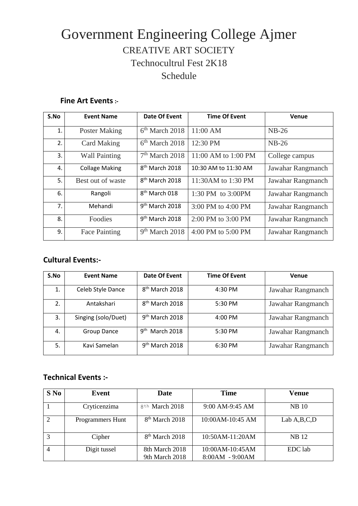## Government Engineering College Ajmer CREATIVE ART SOCIETY Technocultrul Fest 2K18 Schedule

## **Fine Art Events:-**

| S.No | <b>Event Name</b>     | Date Of Event              | <b>Time Of Event</b>   | Venue             |
|------|-----------------------|----------------------------|------------------------|-------------------|
| 1.   | <b>Poster Making</b>  | $6th$ March 2018           | 11:00 AM               | $NB-26$           |
| 2.   | <b>Card Making</b>    | $6th$ March 2018           | 12:30 PM               | $NB-26$           |
| 3.   | <b>Wall Painting</b>  | $7th$ March 2018           | 11:00 AM to 1:00 PM    | College campus    |
| 4.   | <b>Collage Making</b> | 8 <sup>th</sup> March 2018 | 10:30 AM to 11:30 AM   | Jawahar Rangmanch |
| 5.   | Best out of waste     | 8 <sup>th</sup> March 2018 | 11:30AM to 1:30 PM     | Jawahar Rangmanch |
| 6.   | Rangoli               | 8 <sup>th</sup> March 018  | 1:30 PM to 3:00PM      | Jawahar Rangmanch |
| 7.   | Mehandi               | 9 <sup>th</sup> March 2018 | 3:00 PM to 4:00 PM     | Jawahar Rangmanch |
| 8.   | Foodies               | $9th$ March 2018           | $2:00$ PM to $3:00$ PM | Jawahar Rangmanch |
| 9.   | <b>Face Painting</b>  | $9th$ March 2018           | 4:00 PM to 5:00 PM     | Jawahar Rangmanch |

## **Cultural Events:-**

| S.No | <b>Event Name</b>   | Date Of Event                        | <b>Time Of Event</b> | Venue             |
|------|---------------------|--------------------------------------|----------------------|-------------------|
| 1.   | Celeb Style Dance   | 8 <sup>th</sup> March 2018           | 4:30 PM              | Jawahar Rangmanch |
| 2.   | Antakshari          | 8 <sup>th</sup> March 2018           | 5:30 PM              | Jawahar Rangmanch |
| 3.   | Singing (solo/Duet) | $9th$ March 2018                     | $4:00$ PM            | Jawahar Rangmanch |
| 4.   | <b>Group Dance</b>  | g <sup>th</sup><br><b>March 2018</b> | 5:30 PM              | Jawahar Rangmanch |
| 5.   | Kavi Samelan        | $9th$ March 2018                     | 6:30 PM              | Jawahar Rangmanch |

## **Technical Events :-**

| $S$ No | Event                   | Date                             | <b>Time</b>                          | Venue         |
|--------|-------------------------|----------------------------------|--------------------------------------|---------------|
|        | Cryticenzima            | 8 <sup>th</sup> March 2018       | 9:00 AM-9:45 AM                      | <b>NB</b> 10  |
| 2      | <b>Programmers Hunt</b> | 8 <sup>th</sup> March 2018       | 10:00AM-10:45 AM                     | Lab $A,B,C,D$ |
|        | Cipher                  | $8th$ March 2018                 | 10:50AM-11:20AM                      | <b>NB</b> 12  |
|        | Digit tussel            | 8th March 2018<br>9th March 2018 | 10:00AM-10:45AM<br>$8:00AM - 9:00AM$ | EDC lab       |